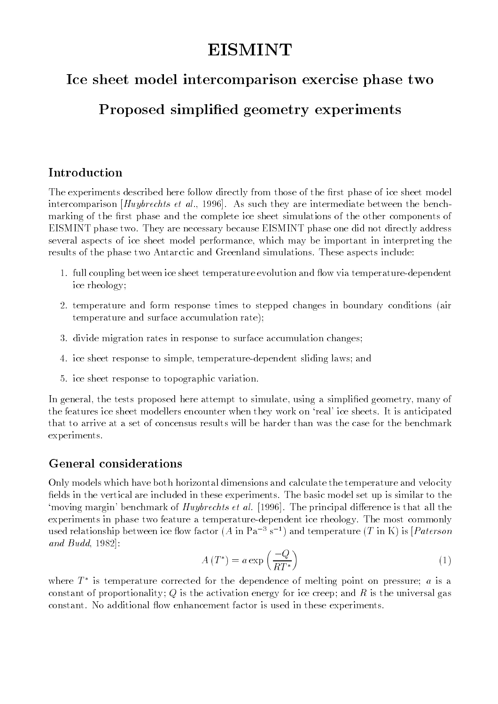#### **EISMINT** EISMINT

# Ice sheet model intercomparison exercise phase two

# Proposed simplified geometry experiments

## Introduction

The experiments described here follow directly from those of the first phase of ice sheet model intercomparison [Huybrechts et al., 1996]. As such they are intermediate between the benchmarking of the first phase and the complete ice sheet simulations of the other components of EISMINT phase two. They are necessary because EISMINT phase one did not directly address several aspects of ice sheet model performance, which may be important in interpreting the results of the phase two Antarctic and Greenland simulations. These aspects include:

- 1. full coupling between ice sheet temperature evolution and flow via temperature-dependent ice rheology;
- 2. temperature and form response times to stepped changes in boundary conditions (air temperature and surface accumulation rate);
- 3. divide migration rates in response to surface accumulation changes;
- 4. ice sheet response to simple, temperature-dependent sliding laws; and
- 5. ice sheet response to topographic variation.

In general, the tests proposed here attempt to simulate, using a simplified geometry, many of the features ice sheet modellers encounter when they work on `real' ice sheets. It is anticipated that to arrive at a set of concensus results will be harder than was the case for the benchmark experiments.

Only models which have both horizontal dimensions and calculate the temperature and velocity fields in the vertical are included in these experiments. The basic model set up is similar to the 'moving margin' benchmark of *Huybrechts et al.* [1996]. The principal difference is that all the experiments in phase two feature a temperature-dependent ice rheology. The most commonly used relationship between ice flow factor  $(A \text{ in } Pa^{-3} s^{-1})$  and temperature  $(T \text{ in } K)$  is [*Paterson* and Budd, 1982]:

$$
A(T^*) = a \exp\left(\frac{-Q}{RT^*}\right) \tag{1}
$$

where  $T$  is temperature corrected for the dependence of melting point on pressure;  $a$  is a constant of proportionality; Q is the activation energy for ice creep; and R is the universal gas constant. No additional flow enhancement factor is used in these experiments.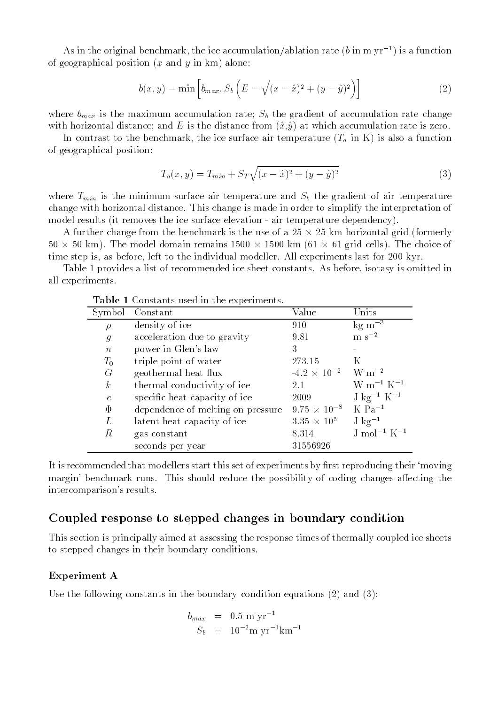As in the original benchmark, the ice accumulation/ablation rate (b in m  $yr^{-1}$ ) is a function of geographical position  $(x \text{ and } y \text{ in } \text{km})$  alone:

$$
b(x,y) = \min \left[ b_{max}, S_b \left( E - \sqrt{(x - \hat{x})^2 + (y - \hat{y})^2} \right) \right]
$$
 (2)

where  $b_{max}$  is the maximum accumulation rate;  $S_b$  the gradient of accumulation rate change with horizontal distance; and E is the distance from  $(\hat{x},\hat{y})$  at which accumulation rate is zero.

In contrast to the benchmark, the ice surface air temperature  $(T_a$  in K) is also a function of geographical position:

$$
T_a(x,y) = T_{min} + S_T \sqrt{(x - \hat{x})^2 + (y - \hat{y})^2}
$$
 (3)

where  $T_{min}$  is the minimum surface air temperature and  $S_b$  the gradient of air temperature change with horizontal distance. This change is made in order to simplify the interpretation of model results (it removes the ice surface elevation - air temperature dependency).

A further change from the benchmark is the use of a 25 - 25 km horizontal grid (formerly 50 - 50 km). The model domain remains 1500 - 1500 km (61 - 61 grid cells). The choice of time step is, as before, left to the individual modeller. All experiments last for 200 kyr.

Table 1 provides a list of recommended ice sheet constants. As before, isotasy is omitted in all experiments.

| Symbol                      | Constant                          | Value                                   | Units                               |
|-----------------------------|-----------------------------------|-----------------------------------------|-------------------------------------|
| $\rho$                      | density of ice                    | 910                                     | $kg \; \mathrm{m}^{-3}$             |
| $\mathcal{G}_{\mathcal{G}}$ | acceleration due to gravity       | 9.81                                    | $\rm m~s^{-2}$                      |
| $\boldsymbol{n}$            | power in Glen's law               | 3                                       |                                     |
| $T_{0}$                     | triple point of water             | 273.15                                  | K                                   |
| G                           | geothermal heat flux              | $-4.2 \times 10^{-2}$ W m <sup>-2</sup> |                                     |
| $\boldsymbol{k}$            | thermal conductivity of ice       | 2.1                                     | $\rm W~m^{-1}~K^{-1}$               |
| $\mathcal{C}$               | specific heat capacity of ice     | 2009                                    | $J \text{ kg}^{-1} K^{-1}$          |
| $\Phi$                      | dependence of melting on pressure | $9.75 \times 10^{-8}$                   | $K$ Pa <sup><math>-1</math></sup>   |
| L                           | latent heat capacity of ice       | $3.35 \times 10^{5}$                    | $J \text{ kg}^{-1}$                 |
| R                           | gas constant                      | 8.314                                   | J mol <sup>-1</sup> K <sup>-1</sup> |
|                             | seconds per year                  | 31556926                                |                                     |

Table 1 Constants used in the experiments.

It is recommended that modellers start this set of experiments by first reproducing their 'moving margin' benchmark runs. This should reduce the possibility of coding changes affecting the intercomparison's results.

## Coupled response to stepped changes in boundary condition

This section is principally aimed at assessing the response times of thermally coupled ice sheets to stepped changes in their boundary conditions.

#### Experiment A

Use the following constants in the boundary condition equations (2) and (3):

$$
b_{max} = 0.5 \text{ m yr}^{-1}
$$
  

$$
S_b = 10^{-2} \text{ m yr}^{-1} \text{km}^{-1}
$$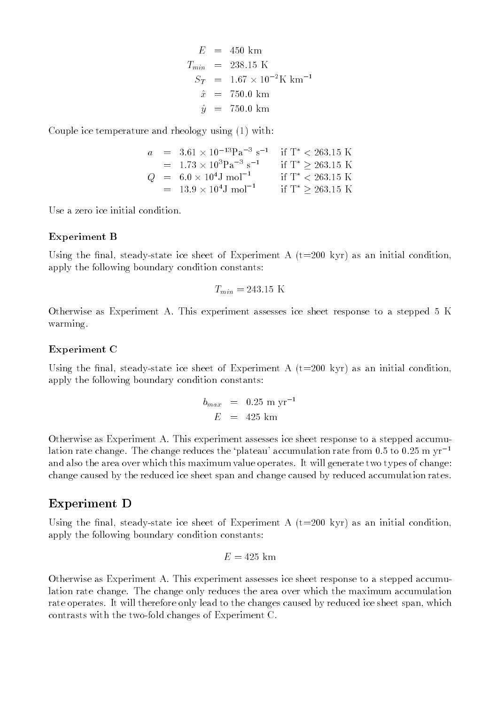$$
E = 450 \text{ km}
$$
  
\n
$$
T_{min} = 238.15 \text{ K}
$$
  
\n
$$
S_T = 1.67 \times 10^{-2} \text{ K km}^{-1}
$$
  
\n
$$
\hat{x} = 750.0 \text{ km}
$$
  
\n
$$
\hat{y} = 750.0 \text{ km}
$$

Couple ice temperature and rheology using (1) with:

$$
a = 3.61 \times 10^{-13} \text{Pa}^{-3} \text{ s}^{-1} \quad \text{if } \text{T}^* < 263.15 \text{ K} = 1.73 \times 10^3 \text{Pa}^{-3} \text{ s}^{-1} \quad \text{if } \text{T}^* \ge 263.15 \text{ K} Q = 6.0 \times 10^4 \text{J mol}^{-1} \quad \text{if } \text{T}^* < 263.15 \text{ K} = 13.9 \times 10^4 \text{J mol}^{-1} \quad \text{if } \text{T}^* \ge 263.15 \text{ K}
$$

Use a zero ice initial condition.

#### Experiment B

Using the final, steady-state ice sheet of Experiment A  $(t=200 \text{ kyr})$  as an initial condition, apply the following boundary condition constants:

$$
T_{min} = 243.15 \text{ K}
$$

Otherwise as Experiment A. This experiment assesses ice sheet response to a stepped 5 K warming.

#### Experiment C

Using the final, steady-state ice sheet of Experiment A  $(t=200 \text{ kyr})$  as an initial condition, apply the following boundary condition constants:

$$
b_{max} = 0.25 \text{ m yr}^{-1}
$$
  

$$
E = 425 \text{ km}
$$

Otherwise as Experiment A. This experiment assesses ice sheet response to a stepped accumulation rate change. The change reduces the 'plateau' accumulation rate from 0.5 to 0.25 m  $yr^{-1}$ and also the area over which this maximum value operates. It will generate two types of change: change caused by the reduced ice sheet span and change caused by reduced accumulation rates.

### Experiment D

Using the final, steady-state ice sheet of Experiment A  $(t=200 \text{ kyr})$  as an initial condition, apply the following boundary condition constants:

$$
E = 425 \, \mathrm{km}
$$

Otherwise as Experiment A. This experiment assesses ice sheet response to a stepped accumulation rate change. The change only reduces the area over which the maximum accumulation rate operates. It will therefore only lead to the changes caused by reduced ice sheet span, which contrasts with the two-fold changes of Experiment C.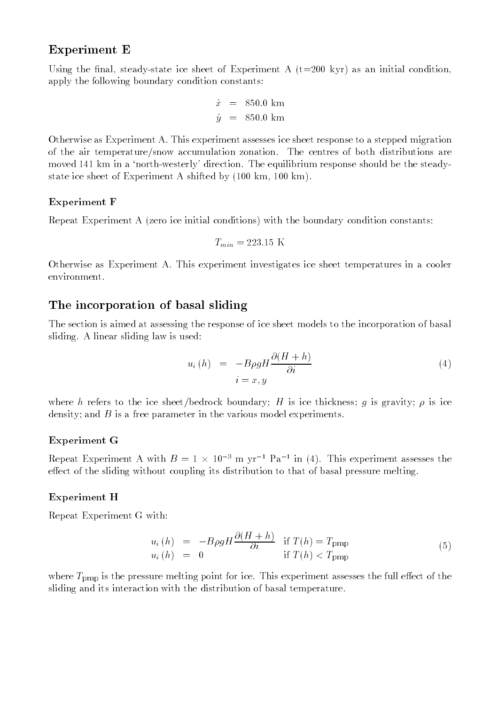## Experiment E

Using the final, steady-state ice sheet of Experiment A  $(t=200 \text{ kyr})$  as an initial condition. apply the following boundary condition constants:

$$
\begin{array}{rcl}\n\hat{x} & = & 850.0 \text{ km} \\
\hat{y} & = & 850.0 \text{ km}\n\end{array}
$$

Otherwise as Experiment A. This experiment assesses ice sheet response to a stepped migration of the air temperature/snow accumulation zonation. The centres of both distributions are moved 141 km in a 'north-westerly' direction. The equilibrium response should be the steadystate ice sheet of Experiment A shifted by (100 km, 100 km).

### Experiment F

Repeat Experiment A (zero ice initial conditions) with the boundary condition constants:

$$
T_{min} = 223.15 \text{ K}
$$

Otherwise as Experiment A. This experiment investigates ice sheet temperatures in a cooler environment.

## The incorporation of basal sliding

The section is aimed at assessing the response of ice sheet models to the incorporation of basal sliding. A linear sliding law is used:

$$
u_i(h) = -B\rho g H \frac{\partial (H+h)}{\partial i}
$$
\n
$$
i = x, y
$$
\n(4)

where h refers to the ice sheet/bedrock boundary; H is ice thickness; g is gravity;  $\rho$  is ice density; and  $B$  is a free parameter in the various model experiments.

#### Experiment G

Repeat Experiment A with  $B = 1 \times 10^{-7}$  m yr<sup>-1</sup> Pa<sup>-1</sup> m (4). This experiment assesses the effect of the sliding without coupling its distribution to that of basal pressure melting.

### Experiment H

Repeat Experiment G with:

$$
u_i(h) = -B\rho g H \frac{\partial (H+h)}{\partial i} \quad \text{if } T(h) = T_{\text{pmp}}u_i(h) = 0 \quad \text{if } T(h) < T_{\text{pmp}} \tag{5}
$$

where  $T_{\text{pmp}}$  is the pressure melting point for ice. This experiment assesses the full effect of the sliding and its interaction with the distribution of basal temperature.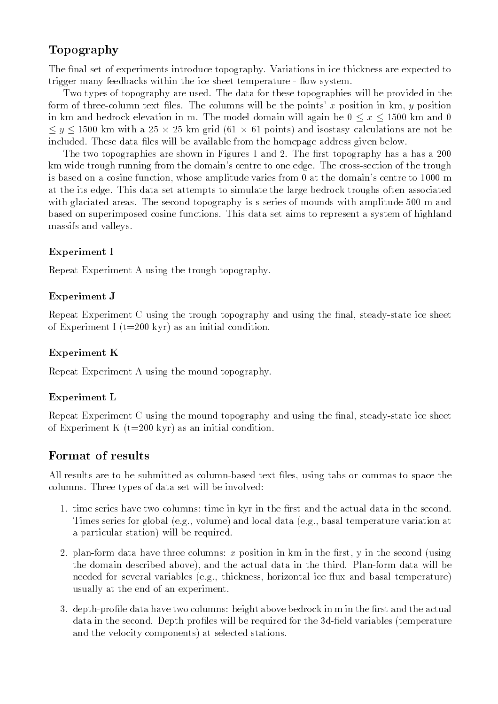## Topography

The final set of experiments introduce topography. Variations in ice thickness are expected to trigger many feedbacks within the ice sheet temperature - flow system.

Two types of topography are used. The data for these topographies will be provided in the form of three-column text files. The columns will be the points' x position in  $km, y$  position in km and bedrock elevation in m. The model domain will again be  $0 \le x \le 1500$  km and 0 y the contract with a 25 cm man grid (625 cm with points) and is also measured and isostasy are not been assigned as included. These data files will be available from the homepage address given below.

The two topographies are shown in Figures 1 and 2. The first topography has a has a  $200$ km wide trough running from the domain's centre to one edge. The cross-section of the trough is based on a cosine function, whose amplitude varies from 0 at the domain's centre to 1000 m at the its edge. This data set attempts to simulate the large bedrock troughs often associated with glaciated areas. The second topography is s series of mounds with amplitude 500 m and based on superimposed cosine functions. This data set aims to represent a system of highland massifs and valleys.

## Experiment I

Repeat Experiment A using the trough topography.

## Experiment J

Repeat Experiment C using the trough topography and using the final, steady-state ice sheet of Experiment I ( $t=200$  kyr) as an initial condition.

## Experiment K

Repeat Experiment A using the mound topography.

## Experiment L

Repeat Experiment C using the mound topography and using the final, steady-state ice sheet of Experiment K  $(t=200 \text{ kyr})$  as an initial condition.

## Format of results

All results are to be submitted as column-based text les, using tabs or commas to space the columns. Three types of data set will be involved:

- 1. time series have two columns: time in kyr in the first and the actual data in the second. Times series for global (e.g., volume) and local data (e.g., basal temperature variation at a particular station) will be required.
- 2. plan-form data have three columns:  $x$  position in km in the first,  $y$  in the second (using the domain described above), and the actual data in the third. Plan-form data will be needed for several variables (e.g., thickness, horizontal ice flux and basal temperature) usually at the end of an experiment.
- 3. depth-profile data have two columns: height above bedrock in m in the first and the actual data in the second. Depth profiles will be required for the 3d-field variables (temperature and the velocity components) at selected stations.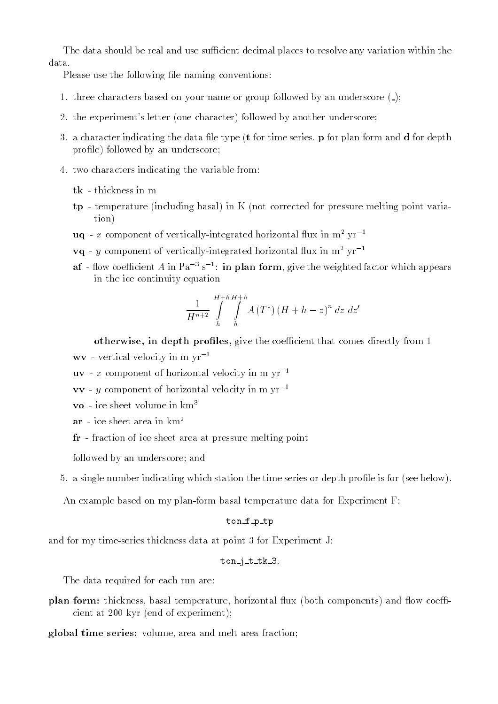The data should be real and use sufficient decimal places to resolve any variation within the

Please use the following file naming conventions:

- 1. three characters based on your name or group followed by an underscore ( );
- 2. the experiment's letter (one character) followed by another underscore;
- 3. a character indicating the data file type  $(t$  for time series,  $\bf{p}$  for plan form and  $\bf{d}$  for depth profile) followed by an underscore;
- 4. two characters indicating the variable from:
	- tk thickness in m
	- tp temperature (including basal) in K (not corrected for pressure melting point variation)
	- $uq x$  component of vertically-integrated horizontal flux in  $m^2 yr^{-1}$
	- $\mathbf{vq}$  y component of vertically-integrated horizontal flux in  $m^2$  yr<sup>-1</sup>
	- ${\bf a}$ 1 now coenicient A in Pa $^{-}$ s  $^{-}$ : **in plan form**, give the weighted factor which appears  $^{-}$ in the ice continuity equation

$$
\frac{1}{H^{n+2}}\int\limits_{h}^{H+h}\int\limits_{h}^{H+h}A\left(T^*\right)\left(H+h-z\right)^{n}dz\;dz'
$$

otherwise, in depth profiles, give the coefficient that comes directly from 1

- $wv$  vertical velocity in m  $yr^{-1}$
- $uv x$  component of horizontal velocity in m  $vr^{-1}$
- vv y component of horizontal velocity in m  $vr^{-1}$
- vo ice sheet volume in  $km<sup>3</sup>$
- $ar ice sheet area in km<sup>2</sup>$
- fr fraction of ice sheet area at pressure melting point

followed by an underscore; and

5. a single number indicating which station the time series or depth profile is for (see below).

An example based on my plan-form basal temperature data for Experiment F:

#### ton\_f\_p\_tp

and for my time-series thickness data at point 3 for Experiment J:

#### $ton_i_t_t$

The data required for each run are:

- plan form: thickness, basal temperature, horizontal flux (both components) and flow coefficient at 200 kyr (end of experiment);
- global time series: volume, area and melt area fraction;